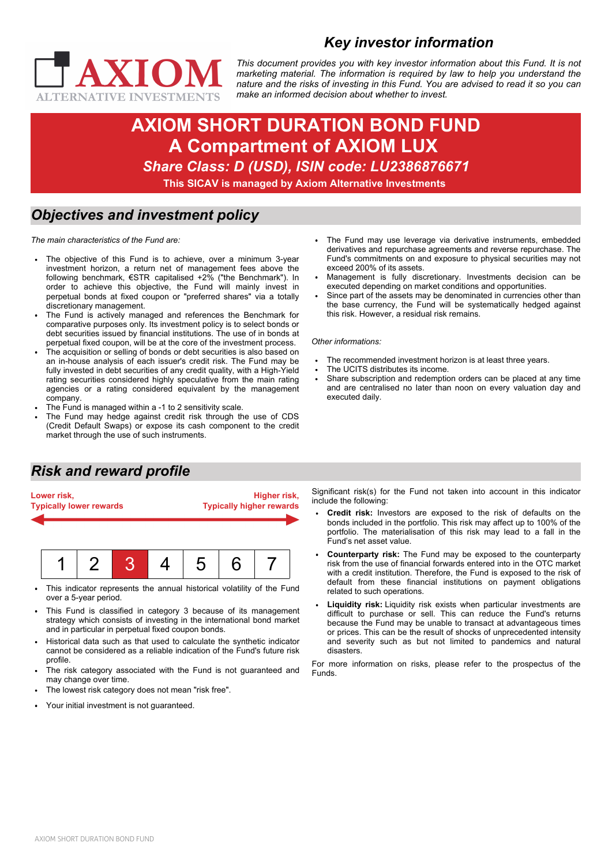



*This document provides you with key investor information about this Fund. It is not marketing material. The information is required by law to help you understand the nature and the risks of investing in this Fund. You are advised to read it so you can make an informed decision about whether to invest.*

# **AXIOM SHORT DURATION BOND FUND A Compartment of AXIOM LUX**  *Share Class: D (USD), ISIN code: LU2386876671* **This SICAV is managed by Axiom Alternative Investments**

#### *Objectives and investment policy*

*The main characteristics of the Fund are:*

- The objective of this Fund is to achieve, over a minimum 3-year investment horizon, a return net of management fees above the following benchmark, €STR capitalised +2% ("the Benchmark"). In order to achieve this objective, the Fund will mainly invest in perpetual bonds at fixed coupon or "preferred shares" via a totally discretionary management.
- The Fund is actively managed and references the Benchmark for comparative purposes only. Its investment policy is to select bonds or debt securities issued by financial institutions. The use of in bonds at perpetual fixed coupon, will be at the core of the investment process.
- The acquisition or selling of bonds or debt securities is also based on an in-house analysis of each issuer's credit risk. The Fund may be fully invested in debt securities of any credit quality, with a High-Yield rating securities considered highly speculative from the main rating agencies or a rating considered equivalent by the management company.
- The Fund is managed within a -1 to 2 sensitivity scale.
- The Fund may hedge against credit risk through the use of CDS (Credit Default Swaps) or expose its cash component to the credit market through the use of such instruments.

# *Risk and reward profile*



- This indicator represents the annual historical volatility of the Fund over a 5-year period.
- This Fund is classified in category 3 because of its management strategy which consists of investing in the international bond market and in particular in perpetual fixed coupon bonds.
- Historical data such as that used to calculate the synthetic indicator cannot be considered as a reliable indication of the Fund's future risk profile.
- The risk category associated with the Fund is not guaranteed and may change over time.
- The lowest risk category does not mean "risk free".
- Your initial investment is not quaranteed.  $\ddot{\phantom{0}}$
- The Fund may use leverage via derivative instruments, embedded derivatives and repurchase agreements and reverse repurchase. The Fund's commitments on and exposure to physical securities may not exceed 200% of its assets.
- Management is fully discretionary. Investments decision can be executed depending on market conditions and opportunities.
- Since part of the assets may be denominated in currencies other than the base currency, the Fund will be systematically hedged against this risk. However, a residual risk remains.

*Other informations:*

- The recommended investment horizon is at least three years.
- The UCITS distributes its income.
- Share subscription and redemption orders can be placed at any time and are centralised no later than noon on every valuation day and executed daily.
- Significant risk(s) for the Fund not taken into account in this indicator include the following:
	- **Credit risk:** Investors are exposed to the risk of defaults on the bonds included in the portfolio. This risk may affect up to 100% of the portfolio. The materialisation of this risk may lead to a fall in the Fund's net asset value.
	- **Counterparty risk:** The Fund may be exposed to the counterparty risk from the use of financial forwards entered into in the OTC market with a credit institution. Therefore, the Fund is exposed to the risk of default from these financial institutions on payment obligations related to such operations.
	- **Liquidity risk:** Liquidity risk exists when particular investments are difficult to purchase or sell. This can reduce the Fund's returns because the Fund may be unable to transact at advantageous times or prices. This can be the result of shocks of unprecedented intensity and severity such as but not limited to pandemics and natural disasters.

For more information on risks, please refer to the prospectus of the Funds.